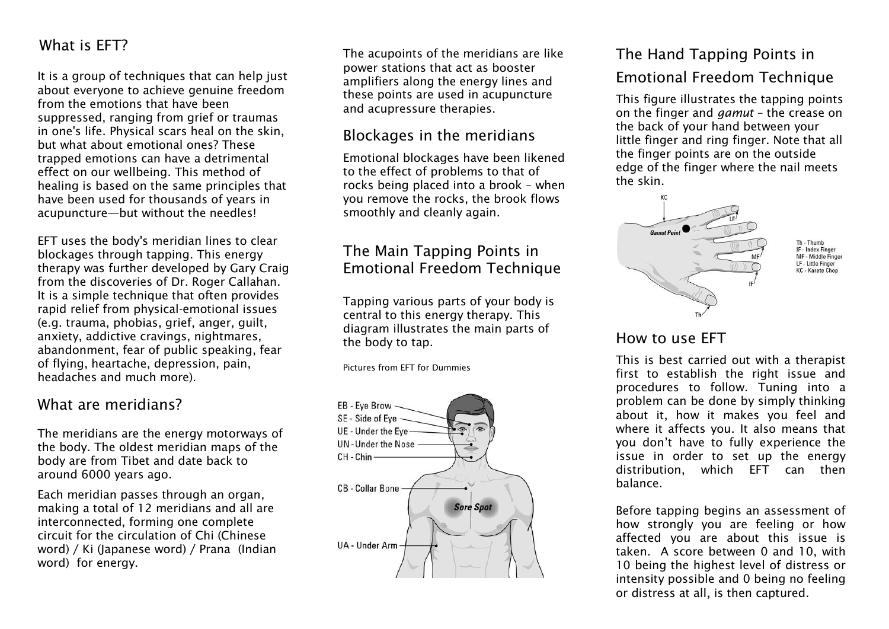### What is EFT?

It is a group of techniques that can help just about everyone to achieve genuine freedom from the emotions that have been suppressed, ranging from grief or traumas in one's life. Physical scars heal on the skin, but what about emotional ones? These trapped emotions can have a detrimental effect on our wellbeing. This method of healing is based on the same principles that have been used for thousands of years in acupuncture—but without the needles!

EFT uses the body's meridian lines to clear blockages through tapping. This energy therapy was further developed by Gary Craig from the discoveries of Dr. Roger Callahan. It is a simple technique that often provides rapid relief from physical-emotional issues (e.g. trauma, phobias, grief, anger, guilt, anxiety, addictive cravings, nightmares, abandonment, fear of public speaking, fear of flying, heartache, depression, pain, headaches and much more).

#### What are meridians?

The meridians are the energy motorways of the body. The oldest meridian maps of the body are from Tibet and date back to around 6000 years ago.

Each meridian passes through an organ, making a total of 12 meridians and all are interconnected, forming one complete circuit for the circulation of Chi (Chinese word) / Ki (Japanese word) / Prana (Indian word) for energy.

The acupoints of the meridians are like power stations that act as booster amplifiers along the energy lines and these points are used in acupuncture and acupressure therapies.

### Blockages in the meridians

Emotional blockages have been likened to the effect of problems to that of rocks being placed into a brook – when you remove the rocks, the brook flows smoothly and cleanly again.

### The Main Tapping Points in Emotional Freedom Technique

Tapping various parts of your body is central to this energy therapy. This diagram illustrates the main parts of the body to tap.

Pictures from EFT for Dummies



## The Hand Tapping Points in Emotional Freedom Technique

This figure illustrates the tapping points on the finger and *gamut* – the crease on the back of your hand between your little finger and ring finger. Note that all the finger points are on the outside edge of the finger where the nail meets the skin.



### How to use EFT

This is best carried out with a therapist first to establish the right issue and procedures to follow. Tuning into a problem can be done by simply thinking about it, how it makes you feel and where it affects you. It also means that you don't have to fully experience the issue in order to set up the energy distribution, which EFT can then balance.

Before tapping begins an assessment of how strongly you are feeling or how affected you are about this issue is taken. A score between 0 and 10, with 10 being the highest level of distress or intensity possible and 0 being no feeling or distress at all, is then captured.